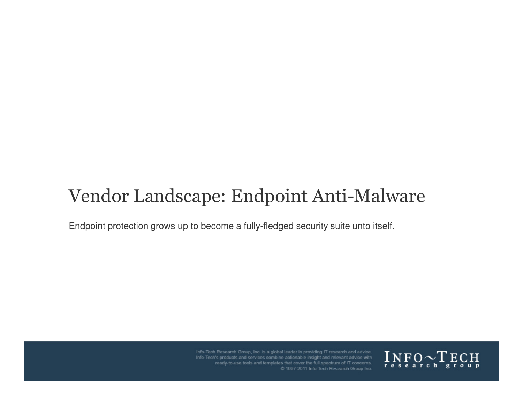# Vendor Landscape: Endpoint Anti-Malware

Endpoint protection grows up to become a fully-fledged security suite unto itself.



Info-Tech Research Group, Inc. is a global leader in providing IT research and advice. Info-Tech's products and services combine actionable insight and relevant advice with ready-to-use tools and templates that cover the full spectrum of IT concerns.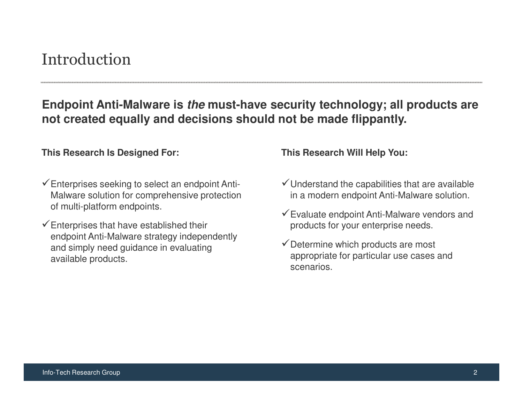# Introduction

### **Endpoint Anti-Malware is the must-have security technology; all products are not created equally and decisions should not be made flippantly.**

### **This Research Is Designed For: This Research Will Help You:**

- $\checkmark$  Enterprises seeking to select an endpoint Anti-Malware solution for comprehensive protection of multi-platform endpoints.
- $\checkmark$  Enterprises that have established their endpoint Anti-Malware strategy independently and simply need guidance in evaluating available products.

- $\checkmark$  Understand the capabilities that are available in a modern endpoint Anti-Malware solution.
- $\checkmark$  Evaluate endpoint Anti-Malware vendors and products for your enterprise needs.
- $\checkmark$  Determine which products are most appropriate for particular use cases and scenarios.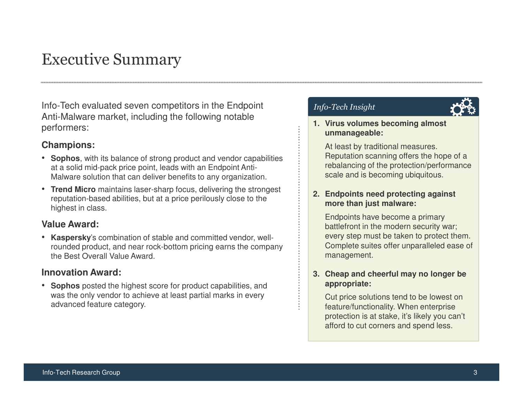# Executive Summary

Info-Tech evaluated seven competitors in the Endpoint Anti-Malware market, including the following notable performers:

### **Champions:**

- **Sophos**, with its balance of strong product and vendor capabilities at a solid mid-pack price point, leads with an Endpoint Anti-Malware solution that can deliver benefits to any organization.
- **Trend Micro** maintains laser-sharp focus, delivering the strongest reputation-based abilities, but at a price perilously close to the highest in class.

### **Value Award:**

• **Kaspersky**'s combination of stable and committed vendor, wellrounded product, and near rock-bottom pricing earns the company the Best Overall Value Award.

### **Innovation Award:**

• **Sophos** posted the highest score for product capabilities, and was the only vendor to achieve at least partial marks in every advanced feature category.

### Info-Tech Insight

#### **1. Virus volumes becoming almost unmanageable:**

At least by traditional measures. Reputation scanning offers the hope of a rebalancing of the protection/performance scale and is becoming ubiquitous.

#### **2. Endpoints need protecting against more than just malware:**

Endpoints have become a primary battlefront in the modern security war; every step must be taken to protect them. Complete suites offer unparalleled ease of management.

#### **3. Cheap and cheerful may no longer be appropriate:**

Cut price solutions tend to be lowest on feature/functionality. When enterprise protection is at stake, it's likely you can't afford to cut corners and spend less.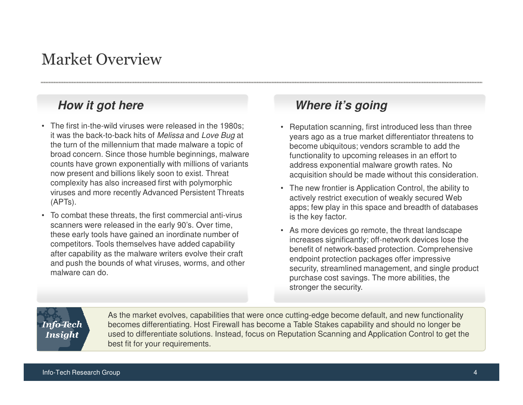# Market Overview

### **How it got here**

- The first in-the-wild viruses were released in the 1980s; it was the back-to-back hits of *Melissa* and *Love Bug* at the turn of the millennium that made malware a topic of broad concern. Since those humble beginnings, malware counts have grown exponentially with millions of variants now present and billions likely soon to exist. Threat complexity has also increased first with polymorphic viruses and more recently Advanced Persistent Threats (APTs).
- To combat these threats, the first commercial anti-virus scanners were released in the early 90's. Over time, these early tools have gained an inordinate number ofcompetitors. Tools themselves have added capability after capability as the malware writers evolve their craft and push the bounds of what viruses, worms, and other malware can do.

### **Where it's going**

- • Reputation scanning, first introduced less than three years ago as a true market differentiator threatens to become ubiquitous; vendors scramble to add the functionality to upcoming releases in an effort to address exponential malware growth rates. No acquisition should be made without this consideration.
- The new frontier is Application Control, the ability to actively restrict execution of weakly secured Web apps; few play in this space and breadth of databases is the key factor.
- As more devices go remote, the threat landscape increases significantly; off-network devices lose the benefit of network-based protection. Comprehensive endpoint protection packages offer impressive security, streamlined management, and single product purchase cost savings. The more abilities, the stronger the security.

### **Info-Tech Insight**

As the market evolves, capabilities that were once cutting-edge become default, and new functionality becomes differentiating. Host Firewall has become a Table Stakes capability and should no longer be used to differentiate solutions. Instead, focus on Reputation Scanning and Application Control to get the best fit for your requirements.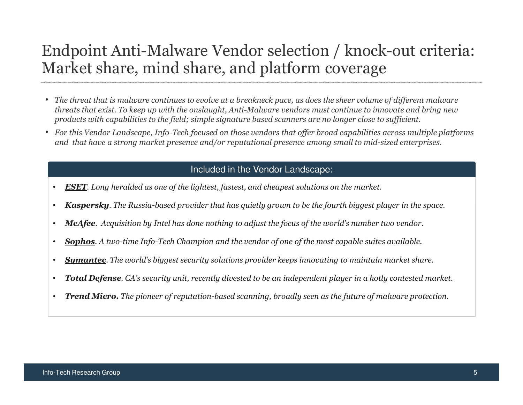# Endpoint Anti-Malware Vendor selection / knock-out criteria: Market share, mind share, and platform coverage

- The threat that is malware continues to evolve at a breakneck pace, as does the sheer volume of different malware threats that exist. To keep up with the onslaught, Anti-Malware vendors must continue to innovate and bring new products with capabilities to the field; simple signature based scanners are no longer close to sufficient.
- For this Vendor Landscape, Info-Tech focused on those vendors that offer broad capabilities across multiple platforms and that have a strong market presence and/or reputational presence among small to mid-sized enterprises.

### Included in the Vendor Landscape:

- •ESET. Long heralded as one of the lightest, fastest, and cheapest solutions on the market.
- •Kaspersky. The Russia-based provider that has quietly grown to be the fourth biggest player in the space.
- •**McAfee**. Acquisition by Intel has done nothing to adjust the focus of the world's number two vendor.
- •**Sophos.** A two-time Info-Tech Champion and the vendor of one of the most capable suites available.
- •**Symantec**. The world's biggest security solutions provider keeps innovating to maintain market share.
- •Total Defense. CA's security unit, recently divested to be an independent player in a hotly contested market.
- •**Trend Micro.** The pioneer of reputation-based scanning, broadly seen as the future of malware protection.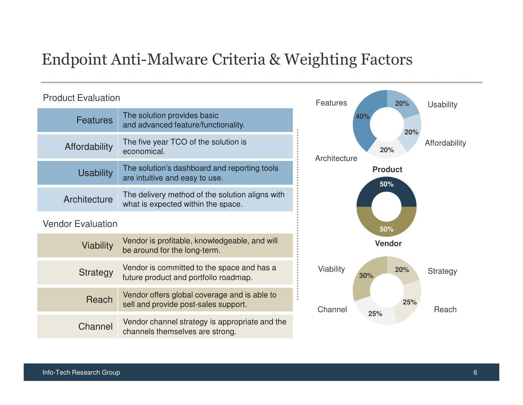# Endpoint Anti-Malware Criteria & Weighting Factors

### Product Evaluation

| <b>Features</b>          | The solution provides basic<br>and advanced feature/functionality.                    |
|--------------------------|---------------------------------------------------------------------------------------|
| Affordability            | The five year TCO of the solution is<br>economical.                                   |
| <b>Usability</b>         | The solution's dashboard and reporting tools<br>are intuitive and easy to use.        |
| Architecture             | The delivery method of the solution aligns with<br>what is expected within the space. |
| <b>Vendor Evaluation</b> |                                                                                       |
| <b>Viability</b>         | Vendor is profitable, knowledgeable, and will<br>be around for the long-term.         |
| Strategy                 | Vendor is committed to the space and has a<br>future product and portfolio roadmap.   |
| Reach                    | Vendor offers global coverage and is able to<br>sell and provide post-sales support.  |
| Channel                  | Vendor channel strategy is appropriate and the<br>channels themselves are strong.     |

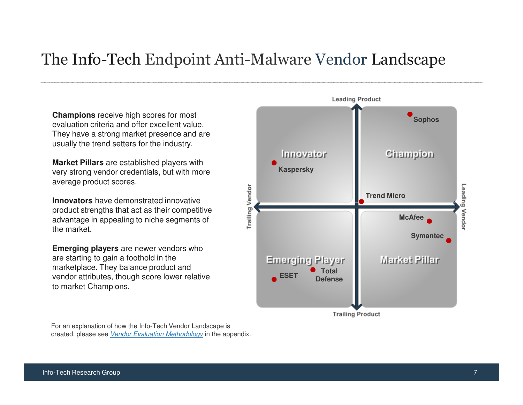# The Info-Tech Endpoint Anti-Malware Vendor Landscape

**Champions** receive high scores for most evaluation criteria and offer excellent value. They have a strong market presence and are usually the trend setters for the industry.

**Market Pillars** are established players with very strong vendor credentials, but with more average product scores.

**Innovators** have demonstrated innovative product strengths that act as their competitive advantage in appealing to niche segments of the market.

**Emerging players** are newer vendors who are starting to gain a foothold in the marketplace. They balance product and vendor attributes, though score lower relative to market Champions.

For an explanation of how the Info-Tech Vendor Landscape is created, please see *Vendor Evaluation Methodology* in the appendix.

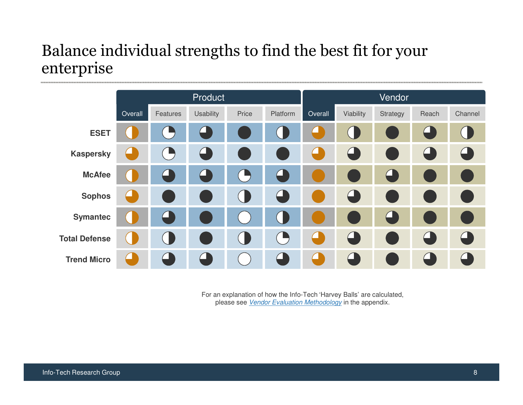# Balance individual strengths to find the best fit for your enterprise



For an explanation of how the Info-Tech 'Harvey Balls' are calculated, please see <u>Vendor Evaluation Methodology</u> in the appendix.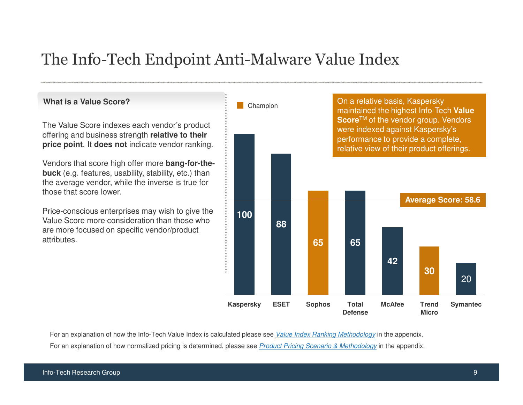# The Info-Tech Endpoint Anti-Malware Value Index

### **What is a Value Score?**

The Value Score indexes each vendor's product offering and business strength **relative to their price point**. It **does not** indicate vendor ranking.

Vendors that score high offer more **bang-for-thebuck** (e.g. features, usability, stability, etc.) than the average vendor, while the inverse is true for those that score lower.

Price-conscious enterprises may wish to give the Value Score more consideration than those who are more focused on specific vendor/product attributes.

**Average Score: 58.6**On a relative basis, Kaspersky maintained the highest Info-Tech **Value Score**TM of the vendor group. Vendors were indexed against Kaspersky's performance to provide a complete, relative view of their product offerings.**Champion Trend Micro30Total McAfeeDefense65Sophos65ESET88Kaspersky10042Symantec**20

For an explanation of how the Info-Tech Value Index is calculated please see <u>Value Index Ranking Methodology</u> in the appendix. For an explanation of how normalized pricing is determined, please see <u>Product Pricing Scenario & Methodology</u> in the appendix.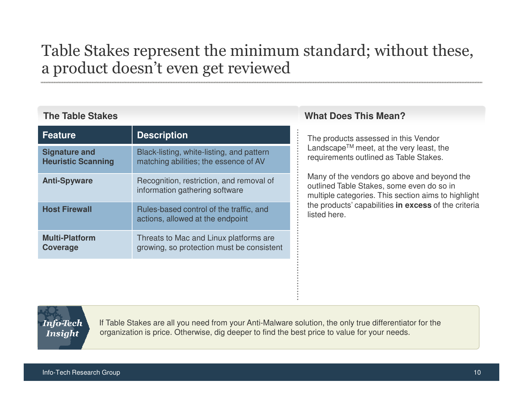# Table Stakes represent the minimum standard; without these, a product doesn't even get reviewed

### **The Table Stakes**

| <b>Feature</b>                                    | <b>Description</b>                                                                  | The product                                 |
|---------------------------------------------------|-------------------------------------------------------------------------------------|---------------------------------------------|
| <b>Signature and</b><br><b>Heuristic Scanning</b> | Black-listing, white-listing, and pattern<br>matching abilities; the essence of AV  | Landscape <sup>1</sup><br>requirement       |
| <b>Anti-Spyware</b>                               | Recognition, restriction, and removal of<br>information gathering software          | Many of the<br>outlined Tab<br>multiple cat |
| <b>Host Firewall</b>                              | Rules-based control of the traffic, and<br>actions, allowed at the endpoint         | the products<br>listed here.                |
| <b>Multi-Platform</b><br><b>Coverage</b>          | Threats to Mac and Linux platforms are<br>growing, so protection must be consistent |                                             |

### **What Does This Mean?**

The products assessed in this Vendor Landscape™ meet, at the very least, the requirements outlined as Table Stakes.

Many of the vendors go above and beyond the outlined Table Stakes, some even do so in multiple categories. This section aims to highlight the products' capabilities **in excess** of the criteria

**Info-Tech Insight** 

If Table Stakes are all you need from your Anti-Malware solution, the only true differentiator for the organization is price. Otherwise, dig deeper to find the best price to value for your needs.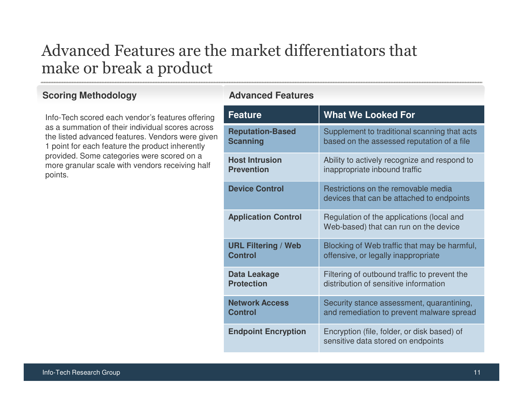# Advanced Features are the market differentiators thatmake or break a product

### **Scoring Methodology**

Info-Tech scored each vendor's features offering as a summation of their individual scores across the listed advanced features. Vendors were given 1 point for each feature the product inherently provided. Some categories were scored on a more granular scale with vendors receiving half points.

### **Advanced Features**

| <b>Feature</b>                               | <b>What We Looked For</b>                                                                  |
|----------------------------------------------|--------------------------------------------------------------------------------------------|
| <b>Reputation-Based</b><br><b>Scanning</b>   | Supplement to traditional scanning that acts<br>based on the assessed reputation of a file |
| <b>Host Intrusion</b><br><b>Prevention</b>   | Ability to actively recognize and respond to                                               |
| <b>Device Control</b>                        | inappropriate inbound traffic<br>Restrictions on the removable media                       |
|                                              | devices that can be attached to endpoints                                                  |
| <b>Application Control</b>                   | Regulation of the applications (local and<br>Web-based) that can run on the device         |
| <b>URL Filtering / Web</b><br><b>Control</b> | Blocking of Web traffic that may be harmful,<br>offensive, or legally inappropriate        |
| Data Leakage<br><b>Protection</b>            | Filtering of outbound traffic to prevent the<br>distribution of sensitive information      |
| <b>Network Access</b><br><b>Control</b>      | Security stance assessment, quarantining,<br>and remediation to prevent malware spread     |
| <b>Endpoint Encryption</b>                   | Encryption (file, folder, or disk based) of<br>sensitive data stored on endpoints          |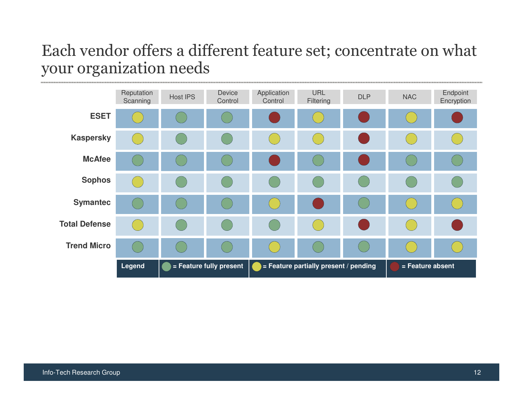# Each vendor offers a different feature set; concentrate on what your organization needs

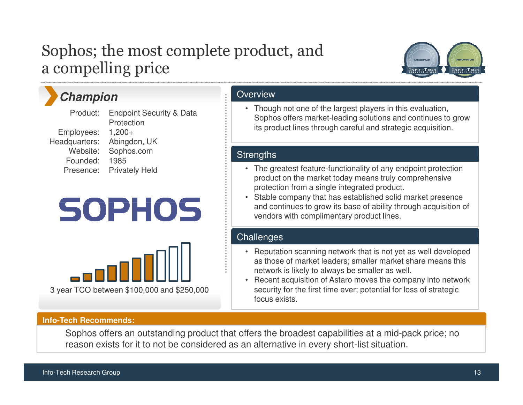# Sophos; the most complete product, anda compelling price



# **Champion**

Product:Employees: Headquarters: Website:Founded: 1985 Presence: Privately HeldEndpoint Security & Data **Protection** 1,200+ Abingdon, UKSophos.com

# **SOPHOS**



### **Info-Tech Recommends:**

**Overview** 

• Though not one of the largest players in this evaluation, Sophos offers market-leading solutions and continues to grow its product lines through careful and strategic acquisition.

### **Strengths**

- The greatest feature-functionality of any endpoint protection product on the market today means truly comprehensive protection from a single integrated product.
- Stable company that has established solid market presence and continues to grow its base of ability through acquisition of vendors with complimentary product lines.

### **Challenges**

- Reputation scanning network that is not yet as well developed as those of market leaders; smaller market share means this network is likely to always be smaller as well.
- Recent acquisition of Astaro moves the company into network security for the first time ever; potential for loss of strategic focus exists.

Sophos offers an outstanding product that offers the broadest capabilities at a mid-pack price; no reason exists for it to not be considered as an alternative in every short-list situation.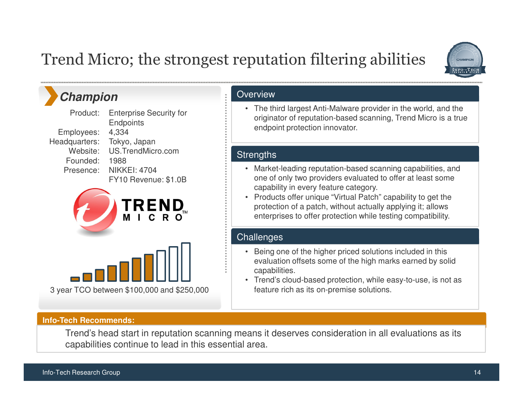# Trend Micro; the strongest reputation filtering abilities



### **Champion**

Employees: Headquarters:Founded: 1988

Product: Website: US.TrendMicro.comPresence: NIKKEI: 4704Enterprise Security for **Endpoints** 4,334 Tokyo, JapanFY10 Revenue: \$1.0B





### **Overview**

• The third largest Anti-Malware provider in the world, and the originator of reputation-based scanning, Trend Micro is a true endpoint protection innovator.

### **Strengths**

- Market-leading reputation-based scanning capabilities, and one of only two providers evaluated to offer at least some capability in every feature category.
- Products offer unique "Virtual Patch" capability to get the protection of a patch, without actually applying it; allows enterprises to offer protection while testing compatibility.

### **Challenges**

- Being one of the higher priced solutions included in this evaluation offsets some of the high marks earned by solidcapabilities.
- Trend's cloud-based protection, while easy-to-use, is not as feature rich as its on-premise solutions.

### **Info-Tech Recommends:**

Trend's head start in reputation scanning means it deserves consideration in all evaluations as its capabilities continue to lead in this essential area.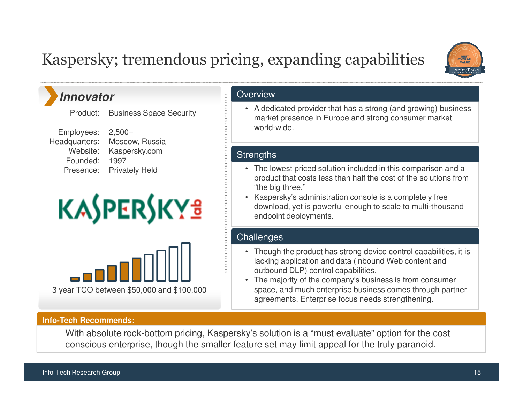# Kaspersky; tremendous pricing, expanding capabilities



### **Innovator**

Product: Business Space Security

Employees: Headquarters:Website:Founded: 1997

 Presence: Privately Held2,500+ Moscow, RussiaKaspersky.com





### **Info-Tech Recommends:**

**Overview** 

• A dedicated provider that has a strong (and growing) business market presence in Europe and strong consumer market world-wide.

### **Strengths**

- The lowest priced solution included in this comparison and a product that costs less than half the cost of the solutions from "the big three."
- Kaspersky's administration console is a completely free download, yet is powerful enough to scale to multi-thousand endpoint deployments.

### **Challenges**

- Though the product has strong device control capabilities, it is lacking application and data (inbound Web content and outbound DLP) control capabilities.
- The majority of the company's business is from consumer space, and much enterprise business comes through partner agreements. Enterprise focus needs strengthening.

With absolute rock-bottom pricing, Kaspersky's solution is a "must evaluate" option for the cost conscious enterprise, though the smaller feature set may limit appeal for the truly paranoid.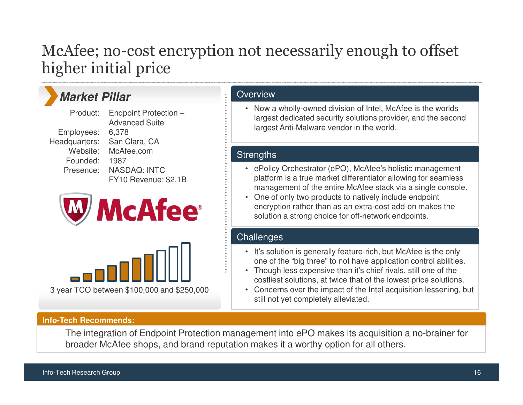# McAfee; no-cost encryption not necessarily enough to offset higher initial price

# **Market Pillar**

Employees: Headquarters:Founded: 1987

Product:Website: McAfee.com Presence: NASDAQ: INTCEndpoint Protection –Advanced Suite6,378 San Clara, CAFY10 Revenue: \$2.1B





### **Overview**

• Now a wholly-owned division of Intel, McAfee is the worlds largest dedicated security solutions provider, and the second largest Anti-Malware vendor in the world.

### **Strengths**

- ePolicy Orchestrator (ePO), McAfee's holistic management platform is a true market differentiator allowing for seamless management of the entire McAfee stack via a single console.
- One of only two products to natively include endpoint encryption rather than as an extra-cost add-on makes the solution a strong choice for off-network endpoints.

### **Challenges**

- It's solution is generally feature-rich, but McAfee is the only one of the "big three" to not have application control abilities.
- Though less expensive than it's chief rivals, still one of the costliest solutions, at twice that of the lowest price solutions.
- Concerns over the impact of the Intel acquisition lessening, but still not yet completely alleviated.

### **Info-Tech Recommends:**

The integration of Endpoint Protection management into ePO makes its acquisition a no-brainer for broader McAfee shops, and brand reputation makes it a worthy option for all others.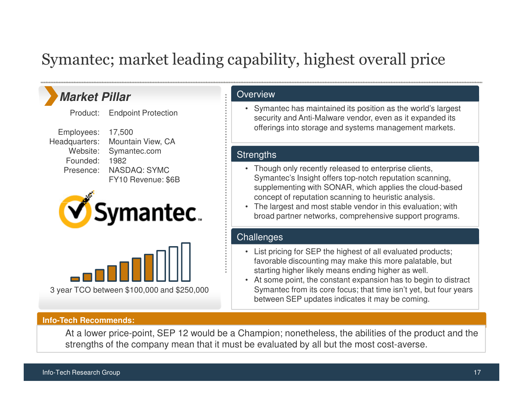# Symantec; market leading capability, highest overall price

### **Market Pillar**

Product:Endpoint Protection

Employees: Headquarters:Founded: 1982

Website: Symantec.com Presence: NASDAQ: SYMC17,500 Mountain View, CAFY10 Revenue: \$6B





#### **Info-Tech Recommends:**

**Overview** 

• Symantec has maintained its position as the world's largest security and Anti-Malware vendor, even as it expanded its offerings into storage and systems management markets.

### **Strengths**

- Though only recently released to enterprise clients, Symantec's Insight offers top-notch reputation scanning, supplementing with SONAR, which applies the cloud-based concept of reputation scanning to heuristic analysis.
- The largest and most stable vendor in this evaluation; with broad partner networks, comprehensive support programs.

### **Challenges**

- List pricing for SEP the highest of all evaluated products; favorable discounting may make this more palatable, butstarting higher likely means ending higher as well.
- At some point, the constant expansion has to begin to distract Symantec from its core focus; that time isn't yet, but four years between SEP updates indicates it may be coming.

At a lower price-point, SEP 12 would be a Champion; nonetheless, the abilities of the product and the strengths of the company mean that it must be evaluated by all but the most cost-averse.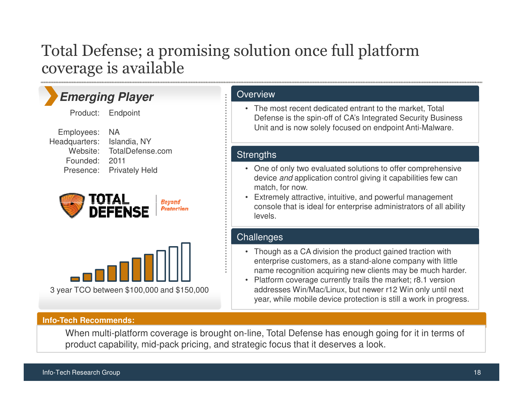# Total Defense; a promising solution once full platform coverage is available

### **Emerging Player**

Product: Endpoint

Employees: Headquarters:Founded: 2011

 Website: TotalDefense.com Presence: Privately HeldNAIslandia, NY





### **Info-Tech Recommends:**

### When multi-platform coverage is brought on-line, Total Defense has enough going for it in terms of product capability, mid-pack pricing, and strategic focus that it deserves a look.

### **Overview**

• The most recent dedicated entrant to the market, Total Defense is the spin-off of CA's Integrated Security Business Unit and is now solely focused on endpoint Anti-Malware.

### **Strengths**

- One of only two evaluated solutions to offer comprehensive device and application control giving it capabilities few can match, for now.
- Extremely attractive, intuitive, and powerful management console that is ideal for enterprise administrators of all ability levels.

### **Challenges**

- Though as a CA division the product gained traction with enterprise customers, as a stand-alone company with littlename recognition acquiring new clients may be much harder.
- Platform coverage currently trails the market; r8.1 version addresses Win/Mac/Linux, but newer r12 Win only until next year, while mobile device protection is still a work in progress.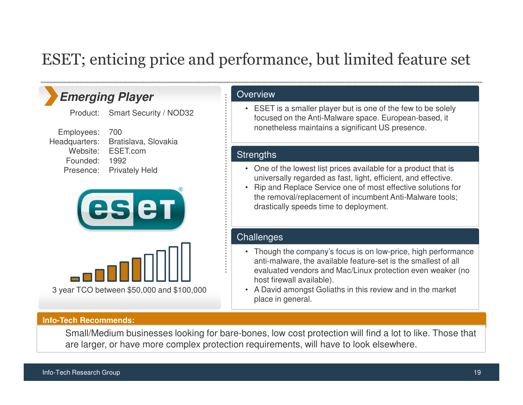# ESET; enticing price and performance, but limited feature set

### **Emerging Player**

Product: Smart Security / NOD32

Employees: Headquarters:Founded: 1992

Website: ESET.com Presence: Privately Held700Bratislava, Slovakia





### **Overview**

• ESET is a smaller player but is one of the few to be solely focused on the Anti-Malware space. European-based, it nonetheless maintains a significant US presence.

### **Strengths**

- One of the lowest list prices available for a product that is universally regarded as fast, light, efficient, and effective.
- Rip and Replace Service one of most effective solutions for the removal/replacement of incumbent Anti-Malware tools; drastically speeds time to deployment.

### **Challenges**

- Though the company's focus is on low-price, high performance anti-malware, the available feature-set is the smallest of all evaluated vendors and Mac/Linux protection even weaker (no host firewall available).
- A David amongst Goliaths in this review and in the market place in general.

### **Info-Tech Recommends:**

Small/Medium businesses looking for bare-bones, low cost protection will find a lot to like. Those that are larger, or have more complex protection requirements, will have to look elsewhere.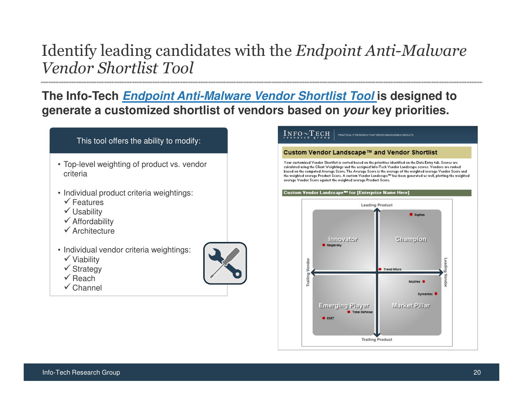# Identify leading candidates with the Endpoint Anti-Malware Vendor Shortlist Tool

**The Info-Tech Endpoint Anti-Malware Vendor Shortlist Tool is designed to generate a customized shortlist of vendors based on your key priorities.**

### This tool offers the ability to modify:

- Top-level weighting of product vs. vendor criteria
- Individual product criteria weightings:
- $\checkmark$  Features
- Usability
- Affordability
- $\checkmark$  Architecture
- Individual vendor criteria weightings:
- $\checkmark$  Viability
- $\checkmark$  Strategy
- $\checkmark$  Reach
- $\checkmark$  Channel



#### $INFO \sim TECH$ .<br>PRACTICAL IT RESEARCH THAT DRIVES MEASURARLE RESULTS

#### Custom Vendor Landscape™ and Vendor Shortlist

Your customized Vendor Shortlist is sorted based on the priorities identified on the Data Entry tab. Scores are calculated using the Client Weightings and the assigned Info-Tech Vendor Landscape scores. Vendors are ranked based on the computed Average Score. The Average Score is the average of the weighted average Vendor Score and the weighted average Product Score. A custom Vendor Landscape<sup>ns</sup> has been generated as well, plotting the weighted average Vendor Score against the weighted average Product Score.

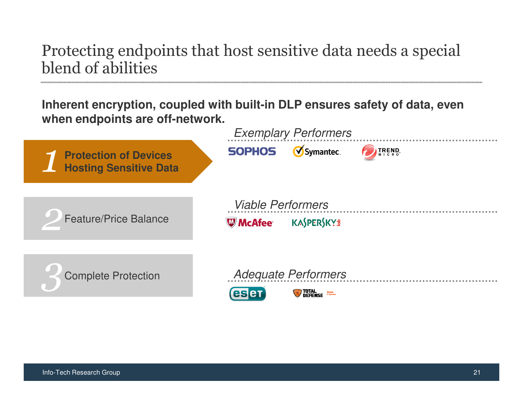# Protecting endpoints that host sensitive data needs a special blend of abilities

**Inherent encryption, coupled with built-in DLP ensures safety of data, even when endpoints are off-network.**

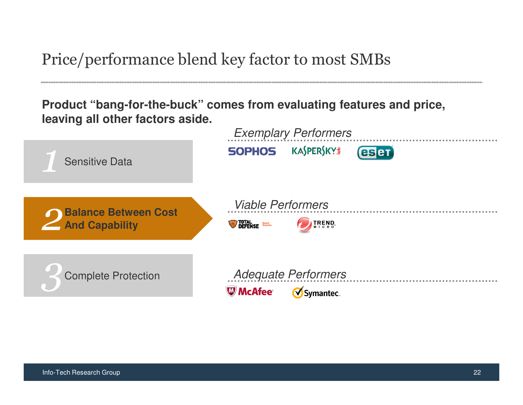Price/performance blend key factor to most SMBs

**Product "bang-for-the-buck" comes from evaluating features and price, leaving all other factors aside.**

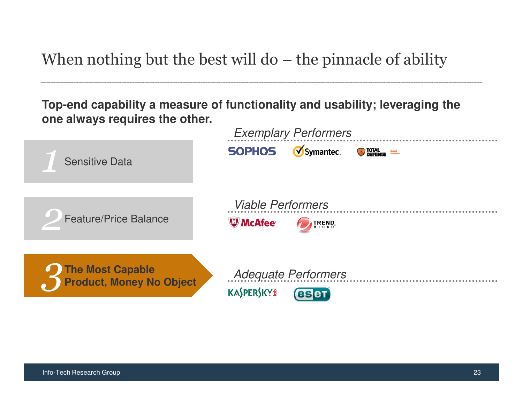When nothing but the best will do – the pinnacle of ability

**Top-end capability a measure of functionality and usability; leveraging the one always requires the other.**

| <b>Sensitive Data</b>                        | <b>Exemplary Performers</b><br>Symantec.<br><b>SOPHOS</b><br><b>DEFENSE</b> |
|----------------------------------------------|-----------------------------------------------------------------------------|
| <b>Feature/Price Balance</b>                 | <b>Viable Performers</b><br><b>W</b> McAfee <sup>®</sup><br><b>TREND</b>    |
| The Most Capable<br>Product, Money No Object | <b>Adequate Performers</b><br><b>KASPERSKYS</b><br><b>esen</b>              |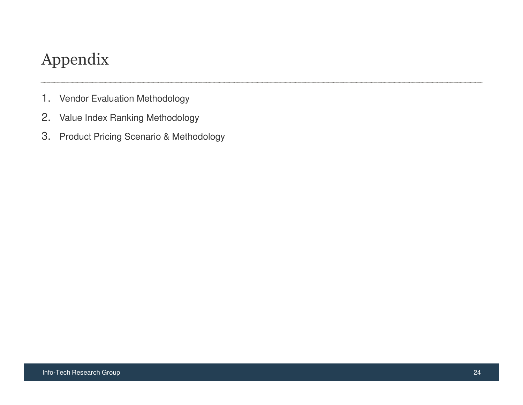# Appendix

- 1. Vendor Evaluation Methodology
- 2. Value Index Ranking Methodology
- 3. Product Pricing Scenario & Methodology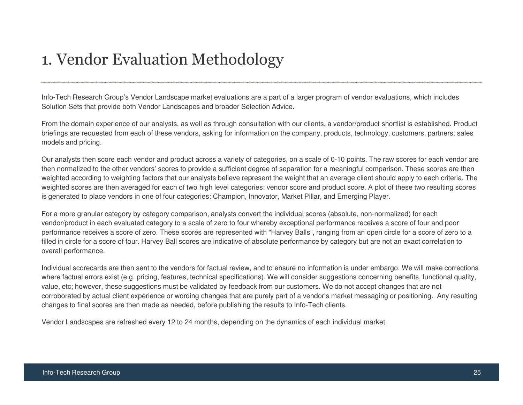# 1. Vendor Evaluation Methodology

Info-Tech Research Group's Vendor Landscape market evaluations are a part of a larger program of vendor evaluations, which includes Solution Sets that provide both Vendor Landscapes and broader Selection Advice.

From the domain experience of our analysts, as well as through consultation with our clients, a vendor/product shortlist is established. Product briefings are requested from each of these vendors, asking for information on the company, products, technology, customers, partners, sales models and pricing.

Our analysts then score each vendor and product across a variety of categories, on a scale of 0-10 points. The raw scores for each vendor are then normalized to the other vendors' scores to provide a sufficient degree of separation for a meaningful comparison. These scores are then weighted according to weighting factors that our analysts believe represent the weight that an average client should apply to each criteria. The weighted scores are then averaged for each of two high level categories: vendor score and product score. A plot of these two resulting scores is generated to place vendors in one of four categories: Champion, Innovator, Market Pillar, and Emerging Player.

For a more granular category by category comparison, analysts convert the individual scores (absolute, non-normalized) for each vendor/product in each evaluated category to a scale of zero to four whereby exceptional performance receives a score of four and poor performance receives a score of zero. These scores are represented with "Harvey Balls", ranging from an open circle for a score of zero to a filled in circle for a score of four. Harvey Ball scores are indicative of absolute performance by category but are not an exact correlation to overall performance.

Individual scorecards are then sent to the vendors for factual review, and to ensure no information is under embargo. We will make corrections where factual errors exist (e.g. pricing, features, technical specifications). We will consider suggestions concerning benefits, functional quality, value, etc; however, these suggestions must be validated by feedback from our customers. We do not accept changes that are not corroborated by actual client experience or wording changes that are purely part of a vendor's market messaging or positioning. Any resulting changes to final scores are then made as needed, before publishing the results to Info-Tech clients.

Vendor Landscapes are refreshed every 12 to 24 months, depending on the dynamics of each individual market.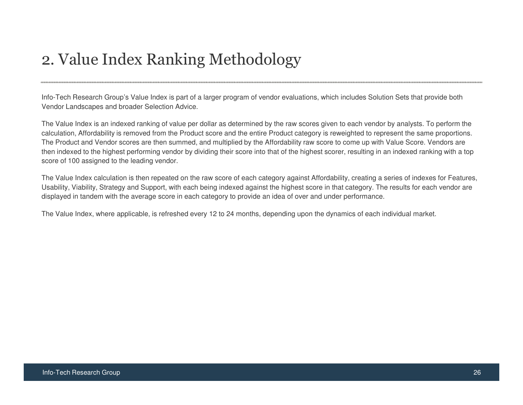# 2. Value Index Ranking Methodology

Info-Tech Research Group's Value Index is part of a larger program of vendor evaluations, which includes Solution Sets that provide both Vendor Landscapes and broader Selection Advice.

The Value Index is an indexed ranking of value per dollar as determined by the raw scores given to each vendor by analysts. To perform the calculation, Affordability is removed from the Product score and the entire Product category is reweighted to represent the same proportions. The Product and Vendor scores are then summed, and multiplied by the Affordability raw score to come up with Value Score. Vendors are then indexed to the highest performing vendor by dividing their score into that of the highest scorer, resulting in an indexed ranking with a top score of 100 assigned to the leading vendor.

The Value Index calculation is then repeated on the raw score of each category against Affordability, creating a series of indexes for Features, Usability, Viability, Strategy and Support, with each being indexed against the highest score in that category. The results for each vendor are displayed in tandem with the average score in each category to provide an idea of over and under performance.

The Value Index, where applicable, is refreshed every 12 to 24 months, depending upon the dynamics of each individual market.